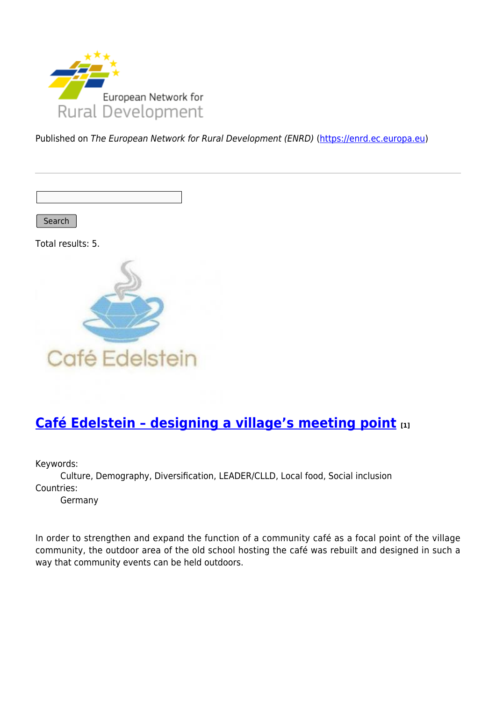

Published on The European Network for Rural Development (ENRD) [\(https://enrd.ec.europa.eu](https://enrd.ec.europa.eu))

Search

Total results: 5.



# **[Café Edelstein – designing a village's meeting point](https://enrd.ec.europa.eu/projects-practice/cafe-edelstein-designing-villages-meeting-point_en) [1]**

Keywords:

Culture, Demography, Diversification, LEADER/CLLD, Local food, Social inclusion Countries:

Germany

In order to strengthen and expand the function of a community café as a focal point of the village community, the outdoor area of the old school hosting the café was rebuilt and designed in such a way that community events can be held outdoors.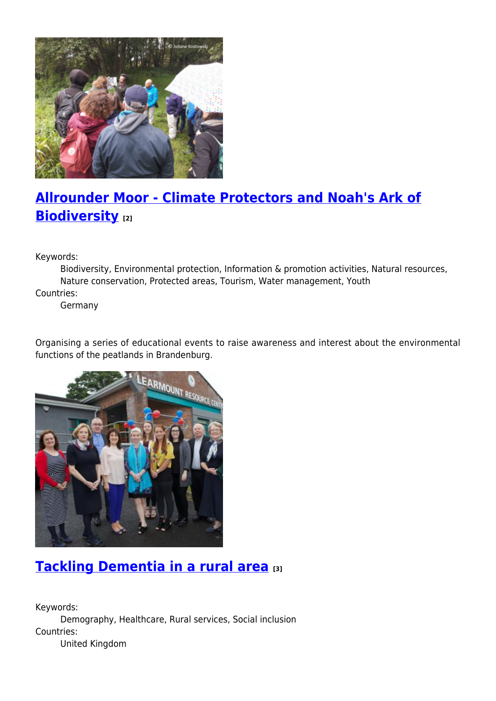

# **[Allrounder Moor - Climate Protectors and Noah's Ark of](https://enrd.ec.europa.eu/projects-practice/allrounder-moor-climate-protectors-and-noahs-ark-biodiversity_en) [Biodiversity](https://enrd.ec.europa.eu/projects-practice/allrounder-moor-climate-protectors-and-noahs-ark-biodiversity_en) [2]**

Keywords:

Biodiversity, Environmental protection, Information & promotion activities, Natural resources, Nature conservation, Protected areas, Tourism, Water management, Youth Countries:

Germany

Organising a series of educational events to raise awareness and interest about the environmental functions of the peatlands in Brandenburg.



# **[Tackling Dementia in a rural area](https://enrd.ec.europa.eu/projects-practice/tackling-dementia-rural-area_en) [3]**

Keywords: Demography, Healthcare, Rural services, Social inclusion Countries: United Kingdom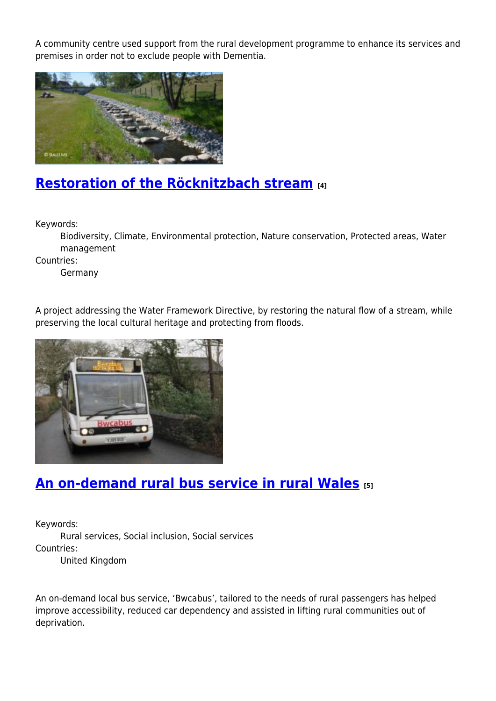A community centre used support from the rural development programme to enhance its services and premises in order not to exclude people with Dementia.



### **[Restoration of the Röcknitzbach stream](https://enrd.ec.europa.eu/projects-practice/restoration-rocknitzbach-stream_en) [4]**

Keywords:

Biodiversity, Climate, Environmental protection, Nature conservation, Protected areas, Water management

Countries:

Germany

A project addressing the Water Framework Directive, by restoring the natural flow of a stream, while preserving the local cultural heritage and protecting from floods.



# **[An on-demand rural bus service in rural Wales](https://enrd.ec.europa.eu/projects-practice/demand-rural-bus-service-rural-wales_en) [5]**

Keywords: Rural services, Social inclusion, Social services Countries: United Kingdom

An on-demand local bus service, 'Bwcabus', tailored to the needs of rural passengers has helped improve accessibility, reduced car dependency and assisted in lifting rural communities out of deprivation.